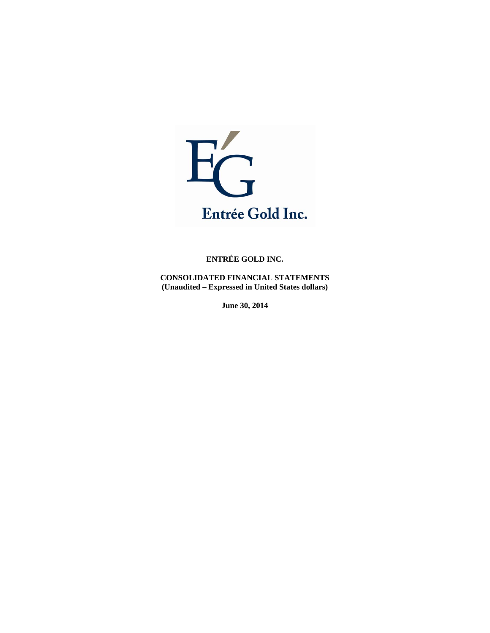

**CONSOLIDATED FINANCIAL STATEMENTS (Unaudited – Expressed in United States dollars)** 

**June 30, 2014**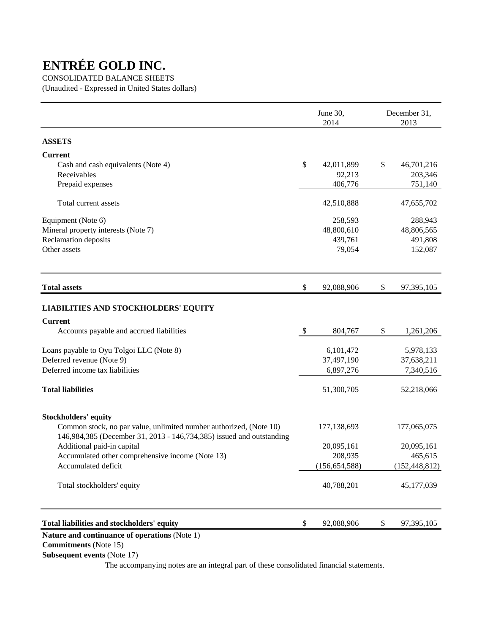# CONSOLIDATED BALANCE SHEETS

(Unaudited - Expressed in United States dollars)

|                  | December 31,<br>2013 |
|------------------|----------------------|
|                  |                      |
|                  |                      |
| \$<br>42,011,899 | 46,701,216           |
| 92,213           | 203,346              |
| 406,776          | 751,140              |
| 42,510,888       | 47,655,702           |
| 258,593          | 288,943              |
| 48,800,610       | 48,806,565           |
| 439,761          | 491,808              |
| 79,054           | 152,087              |
| 92,088,906<br>\$ | 97,395,105           |
|                  |                      |
|                  |                      |
| 804,767<br>\$    | 1,261,206            |
| 6,101,472        | 5,978,133            |
| 37,497,190       | 37,638,211           |
| 6,897,276        | 7,340,516            |
| 51,300,705       | 52,218,066           |
|                  |                      |
| 177,138,693      | 177,065,075          |
|                  |                      |
| 20,095,161       | 20,095,161           |
| 208,935          | 465,615              |
| (156, 654, 588)  | (152, 448, 812)      |
| 40,788,201       | 45,177,039           |
| \$               | 97,395,105           |
|                  | 92,088,906           |

 **Commitments** (Note 15)

 **Subsequent events** (Note 17)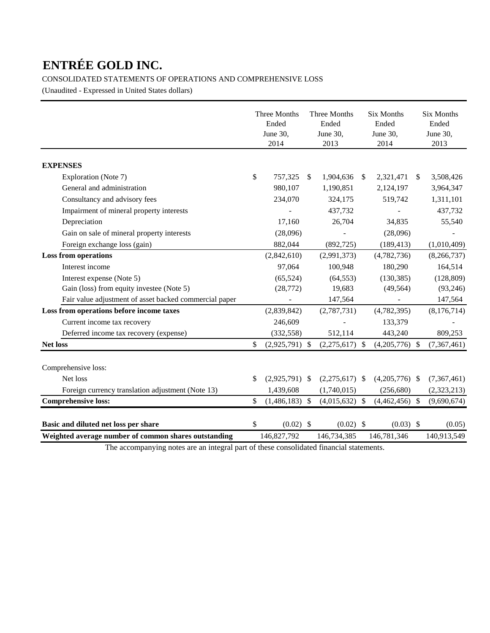# CONSOLIDATED STATEMENTS OF OPERATIONS AND COMPREHENSIVE LOSS

(Unaudited - Expressed in United States dollars)

|                                                        | Three Months<br>Ended<br>June 30,<br>2014 | Three Months<br>Ended<br>June 30,<br>2013 |               | <b>Six Months</b><br>Ended<br>June 30,<br>2014 |               | <b>Six Months</b><br>Ended<br>June 30,<br>2013 |
|--------------------------------------------------------|-------------------------------------------|-------------------------------------------|---------------|------------------------------------------------|---------------|------------------------------------------------|
| <b>EXPENSES</b>                                        |                                           |                                           |               |                                                |               |                                                |
| Exploration (Note 7)                                   | \$<br>757,325                             | \$<br>1,904,636                           | <sup>\$</sup> | 2,321,471                                      | <sup>\$</sup> | 3,508,426                                      |
| General and administration                             | 980,107                                   | 1,190,851                                 |               | 2,124,197                                      |               | 3,964,347                                      |
| Consultancy and advisory fees                          | 234,070                                   | 324,175                                   |               | 519,742                                        |               | 1,311,101                                      |
| Impairment of mineral property interests               |                                           | 437,732                                   |               |                                                |               | 437,732                                        |
| Depreciation                                           | 17,160                                    | 26.704                                    |               | 34,835                                         |               | 55,540                                         |
| Gain on sale of mineral property interests             | (28,096)                                  |                                           |               | (28,096)                                       |               |                                                |
| Foreign exchange loss (gain)                           | 882,044                                   | (892, 725)                                |               | (189, 413)                                     |               | (1,010,409)                                    |
| <b>Loss from operations</b>                            | (2,842,610)                               | (2,991,373)                               |               | (4,782,736)                                    |               | (8,266,737)                                    |
| Interest income                                        | 97,064                                    | 100,948                                   |               | 180,290                                        |               | 164,514                                        |
| Interest expense (Note 5)                              | (65, 524)                                 | (64, 553)                                 |               | (130, 385)                                     |               | (128, 809)                                     |
| Gain (loss) from equity investee (Note 5)              | (28, 772)                                 | 19,683                                    |               | (49, 564)                                      |               | (93, 246)                                      |
| Fair value adjustment of asset backed commercial paper |                                           | 147,564                                   |               |                                                |               | 147,564                                        |
| Loss from operations before income taxes               | (2,839,842)                               | (2,787,731)                               |               | (4,782,395)                                    |               | (8,176,714)                                    |
| Current income tax recovery                            | 246,609                                   |                                           |               | 133,379                                        |               |                                                |
| Deferred income tax recovery (expense)                 | (332, 558)                                | 512,114                                   |               | 443,240                                        |               | 809,253                                        |
| <b>Net loss</b>                                        | \$<br>$(2,925,791)$ \$                    | $(2,275,617)$ \$                          |               | $(4,205,776)$ \$                               |               | (7,367,461)                                    |
| Comprehensive loss:                                    |                                           |                                           |               |                                                |               |                                                |
| Net loss                                               | \$<br>$(2,925,791)$ \$                    | $(2,275,617)$ \$                          |               | $(4,205,776)$ \$                               |               | (7,367,461)                                    |
| Foreign currency translation adjustment (Note 13)      | 1,439,608                                 | (1,740,015)                               |               | (256, 680)                                     |               | (2,323,213)                                    |
| <b>Comprehensive loss:</b>                             | \$<br>$(1,486,183)$ \$                    | $(4,015,632)$ \$                          |               | $(4,462,456)$ \$                               |               | (9,690,674)                                    |
| Basic and diluted net loss per share                   | \$<br>$(0.02)$ \$                         | $(0.02)$ \$                               |               | $(0.03)$ \$                                    |               | (0.05)                                         |
| Weighted average number of common shares outstanding   | 146,827,792                               | 146,734,385                               |               | 146,781,346                                    |               | 140,913,549                                    |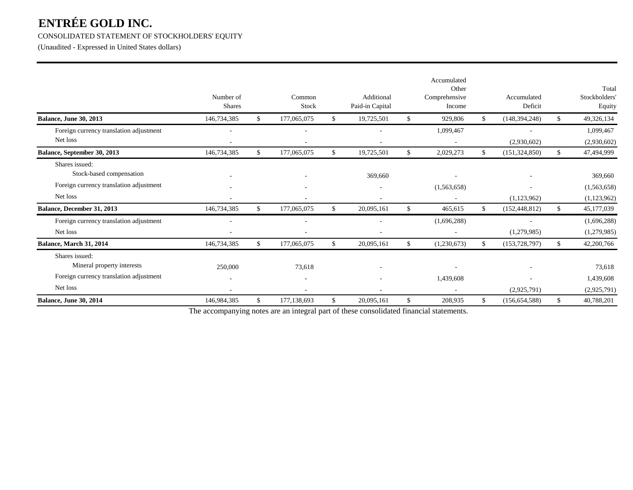# CONSOLIDATED STATEMENT OF STOCKHOLDERS' EQUITY

(Unaudited - Expressed in United States dollars)

|                                                                                                     | Number of<br><b>Shares</b> |              | Common<br>Stock  | Additional<br>Paid-in Capital | Accumulated<br>Other<br>Comprehensive<br>Income | Accumulated<br>Deficit                  |     | Total<br>Stockholders'<br>Equity         |
|-----------------------------------------------------------------------------------------------------|----------------------------|--------------|------------------|-------------------------------|-------------------------------------------------|-----------------------------------------|-----|------------------------------------------|
| <b>Balance, June 30, 2013</b>                                                                       | 146,734,385                | \$           | 177,065,075      | \$<br>19,725,501              | \$<br>929,806                                   | \$<br>(148, 394, 248)                   | \$  | 49,326,134                               |
| Foreign currency translation adjustment<br>Net loss                                                 |                            |              |                  | $\overline{\phantom{a}}$      | 1,099,467                                       | $\overline{\phantom{a}}$<br>(2,930,602) |     | 1,099,467<br>(2,930,602)                 |
| Balance, September 30, 2013                                                                         | 146,734,385                | $\mathbb{S}$ | 177,065,075      | \$<br>19,725,501              | \$<br>2,029,273                                 | \$<br>(151, 324, 850)                   | \$  | 47,494,999                               |
| Shares issued:<br>Stock-based compensation<br>Foreign currency translation adjustment<br>Net loss   |                            |              |                  | 369,660<br>۰                  | (1,563,658)                                     | (1,123,962)                             |     | 369,660<br>(1,563,658)<br>(1,123,962)    |
| Balance, December 31, 2013                                                                          | 146,734,385                | $\mathbb{S}$ | 177,065,075      | \$<br>20,095,161              | \$<br>465,615                                   | \$<br>(152, 448, 812)                   | \$  | 45,177,039                               |
| Foreign currency translation adjustment<br>Net loss<br>Balance, March 31, 2014                      | 146,734,385                | $\mathbb{S}$ | 177,065,075      | \$<br>20,095,161              | \$<br>(1,696,288)<br>(1,230,673)                | \$<br>(1,279,985)<br>(153, 728, 797)    | \$. | (1,696,288)<br>(1,279,985)<br>42,200,766 |
| Shares issued:<br>Mineral property interests<br>Foreign currency translation adjustment<br>Net loss | 250,000<br>$\overline{a}$  |              | 73,618<br>$\sim$ | ۰                             | 1,439,608<br>$\overline{\phantom{a}}$           | ٠<br>(2,925,791)                        |     | 73,618<br>1,439,608<br>(2,925,791)       |
| Balance, June 30, 2014                                                                              | 146,984,385                | $\mathbb{S}$ | 177, 138, 693    | \$<br>20,095,161              | \$<br>208,935                                   | \$<br>(156, 654, 588)                   | \$  | 40,788,201                               |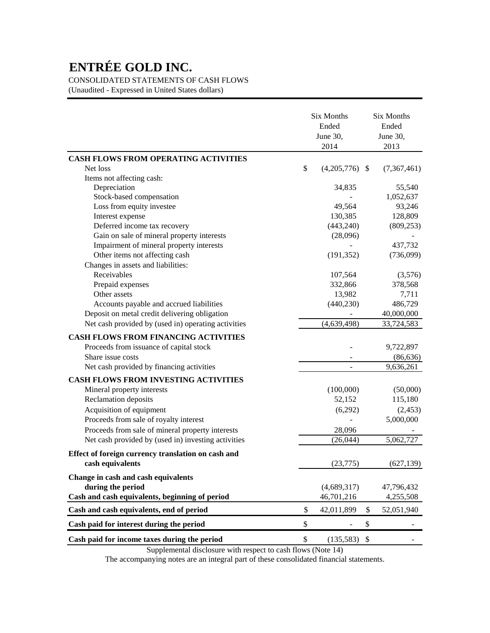CONSOLIDATED STATEMENTS OF CASH FLOWS

(Unaudited - Expressed in United States dollars)

|                                                     | Six Months<br>Ended<br>June 30,<br>2014 | <b>Six Months</b><br>Ended<br>June 30,<br>2013 |
|-----------------------------------------------------|-----------------------------------------|------------------------------------------------|
| <b>CASH FLOWS FROM OPERATING ACTIVITIES</b>         |                                         |                                                |
| Net loss                                            | \$<br>$(4,205,776)$ \$                  | (7,367,461)                                    |
| Items not affecting cash:                           |                                         |                                                |
| Depreciation                                        | 34,835                                  | 55,540                                         |
| Stock-based compensation                            |                                         | 1,052,637                                      |
| Loss from equity investee                           | 49,564                                  | 93,246                                         |
| Interest expense                                    | 130,385                                 | 128,809                                        |
| Deferred income tax recovery                        | (443,240)                               | (809, 253)                                     |
| Gain on sale of mineral property interests          | (28,096)                                |                                                |
| Impairment of mineral property interests            |                                         | 437,732                                        |
| Other items not affecting cash                      | (191, 352)                              | (736,099)                                      |
| Changes in assets and liabilities:                  |                                         |                                                |
| Receivables                                         | 107,564                                 | (3,576)                                        |
| Prepaid expenses                                    | 332,866                                 | 378,568                                        |
| Other assets                                        | 13,982                                  | 7,711                                          |
| Accounts payable and accrued liabilities            | (440, 230)                              | 486,729                                        |
| Deposit on metal credit delivering obligation       |                                         | 40,000,000                                     |
| Net cash provided by (used in) operating activities | (4,639,498)                             | 33,724,583                                     |
| <b>CASH FLOWS FROM FINANCING ACTIVITIES</b>         |                                         |                                                |
| Proceeds from issuance of capital stock             |                                         | 9,722,897                                      |
| Share issue costs                                   |                                         | (86, 636)                                      |
| Net cash provided by financing activities           |                                         | 9,636,261                                      |
|                                                     |                                         |                                                |
| <b>CASH FLOWS FROM INVESTING ACTIVITIES</b>         |                                         |                                                |
| Mineral property interests                          | (100,000)                               | (50,000)                                       |
| Reclamation deposits                                | 52,152                                  | 115,180                                        |
| Acquisition of equipment                            | (6,292)                                 | (2, 453)                                       |
| Proceeds from sale of royalty interest              |                                         | 5,000,000                                      |
| Proceeds from sale of mineral property interests    | 28,096                                  |                                                |
| Net cash provided by (used in) investing activities | (26, 044)                               | 5,062,727                                      |
| Effect of foreign currency translation on cash and  |                                         |                                                |
| cash equivalents                                    | (23,775)                                | (627, 139)                                     |
| Change in cash and cash equivalents                 |                                         |                                                |
| during the period                                   | (4,689,317)                             | 47,796,432                                     |
| Cash and cash equivalents, beginning of period      | 46,701,216                              | 4,255,508                                      |
| Cash and cash equivalents, end of period            | \$<br>42,011,899                        | \$<br>52,051,940                               |
| Cash paid for interest during the period            | \$                                      | \$                                             |
| Cash paid for income taxes during the period        | \$<br>(135,583)                         | \$                                             |

Supplemental disclosure with respect to cash flows (Note 14)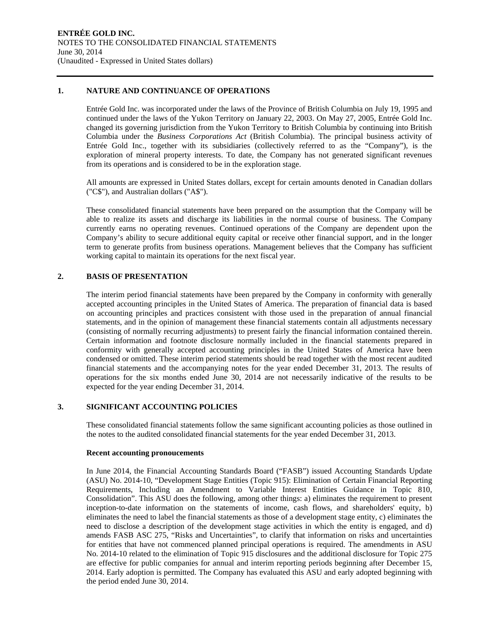#### **1. NATURE AND CONTINUANCE OF OPERATIONS**

Entrée Gold Inc. was incorporated under the laws of the Province of British Columbia on July 19, 1995 and continued under the laws of the Yukon Territory on January 22, 2003. On May 27, 2005, Entrée Gold Inc. changed its governing jurisdiction from the Yukon Territory to British Columbia by continuing into British Columbia under the *Business Corporations Act* (British Columbia). The principal business activity of Entrée Gold Inc., together with its subsidiaries (collectively referred to as the "Company"), is the exploration of mineral property interests. To date, the Company has not generated significant revenues from its operations and is considered to be in the exploration stage.

All amounts are expressed in United States dollars, except for certain amounts denoted in Canadian dollars ("C\$"), and Australian dollars ("A\$").

These consolidated financial statements have been prepared on the assumption that the Company will be able to realize its assets and discharge its liabilities in the normal course of business. The Company currently earns no operating revenues. Continued operations of the Company are dependent upon the Company's ability to secure additional equity capital or receive other financial support, and in the longer term to generate profits from business operations. Management believes that the Company has sufficient working capital to maintain its operations for the next fiscal year.

### **2. BASIS OF PRESENTATION**

The interim period financial statements have been prepared by the Company in conformity with generally accepted accounting principles in the United States of America. The preparation of financial data is based on accounting principles and practices consistent with those used in the preparation of annual financial statements, and in the opinion of management these financial statements contain all adjustments necessary (consisting of normally recurring adjustments) to present fairly the financial information contained therein. Certain information and footnote disclosure normally included in the financial statements prepared in conformity with generally accepted accounting principles in the United States of America have been condensed or omitted. These interim period statements should be read together with the most recent audited financial statements and the accompanying notes for the year ended December 31, 2013. The results of operations for the six months ended June 30, 2014 are not necessarily indicative of the results to be expected for the year ending December 31, 2014.

# **3. SIGNIFICANT ACCOUNTING POLICIES**

These consolidated financial statements follow the same significant accounting policies as those outlined in the notes to the audited consolidated financial statements for the year ended December 31, 2013.

#### **Recent accounting pronoucements**

In June 2014, the Financial Accounting Standards Board ("FASB") issued Accounting Standards Update (ASU) No. 2014-10, "Development Stage Entities (Topic 915): Elimination of Certain Financial Reporting Requirements, Including an Amendment to Variable Interest Entities Guidance in Topic 810, Consolidation". This ASU does the following, among other things: a) eliminates the requirement to present inception-to-date information on the statements of income, cash flows, and shareholders' equity, b) eliminates the need to label the financial statements as those of a development stage entity, c) eliminates the need to disclose a description of the development stage activities in which the entity is engaged, and d) amends FASB ASC 275, "Risks and Uncertainties", to clarify that information on risks and uncertainties for entities that have not commenced planned principal operations is required. The amendments in ASU No. 2014-10 related to the elimination of Topic 915 disclosures and the additional disclosure for Topic 275 are effective for public companies for annual and interim reporting periods beginning after December 15, 2014. Early adoption is permitted. The Company has evaluated this ASU and early adopted beginning with the period ended June 30, 2014.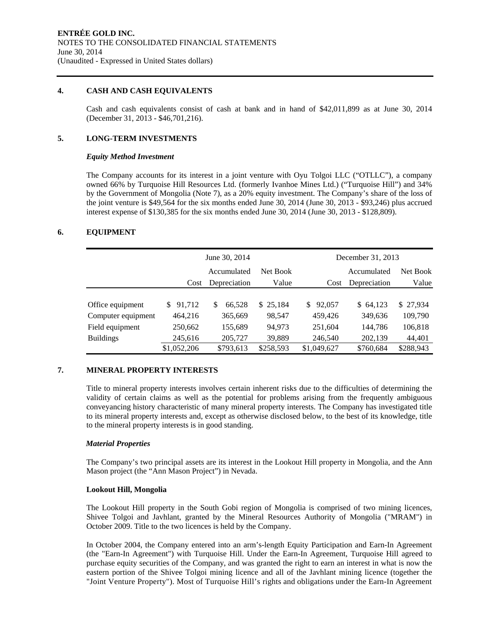### **4. CASH AND CASH EQUIVALENTS**

Cash and cash equivalents consist of cash at bank and in hand of \$42,011,899 as at June 30, 2014 (December 31, 2013 - \$46,701,216).

# **5. LONG-TERM INVESTMENTS**

#### *Equity Method Investment*

The Company accounts for its interest in a joint venture with Oyu Tolgoi LLC ("OTLLC"), a company owned 66% by Turquoise Hill Resources Ltd. (formerly Ivanhoe Mines Ltd.) ("Turquoise Hill") and 34% by the Government of Mongolia (Note 7), as a 20% equity investment. The Company's share of the loss of the joint venture is \$49,564 for the six months ended June 30, 2014 (June 30, 2013 - \$93,246) plus accrued interest expense of \$130,385 for the six months ended June 30, 2014 (June 30, 2013 - \$128,809).

# **6. EQUIPMENT**

|                    |               | June 30, 2014 |              |               | December 31, 2013 |           |
|--------------------|---------------|---------------|--------------|---------------|-------------------|-----------|
|                    |               | Accumulated   | Net Book     |               | Accumulated       | Net Book  |
|                    | Cost          | Depreciation  | Value        | Cost          | Depreciation      | Value     |
|                    |               |               |              |               |                   |           |
| Office equipment   | 91,712<br>\$. | 66,528<br>S   | 25,184<br>S. | 92,057<br>\$. | \$64,123          | \$27,934  |
| Computer equipment | 464,216       | 365,669       | 98,547       | 459,426       | 349,636           | 109,790   |
| Field equipment    | 250,662       | 155,689       | 94,973       | 251,604       | 144,786           | 106,818   |
| <b>Buildings</b>   | 245,616       | 205,727       | 39,889       | 246,540       | 202,139           | 44,401    |
|                    | \$1,052,206   | \$793,613     | \$258,593    | \$1,049,627   | \$760,684         | \$288,943 |

#### **7. MINERAL PROPERTY INTERESTS**

Title to mineral property interests involves certain inherent risks due to the difficulties of determining the validity of certain claims as well as the potential for problems arising from the frequently ambiguous conveyancing history characteristic of many mineral property interests. The Company has investigated title to its mineral property interests and, except as otherwise disclosed below, to the best of its knowledge, title to the mineral property interests is in good standing.

#### *Material Properties*

The Company's two principal assets are its interest in the Lookout Hill property in Mongolia, and the Ann Mason project (the "Ann Mason Project") in Nevada.

#### **Lookout Hill, Mongolia**

The Lookout Hill property in the South Gobi region of Mongolia is comprised of two mining licences, Shivee Tolgoi and Javhlant, granted by the Mineral Resources Authority of Mongolia ("MRAM") in October 2009. Title to the two licences is held by the Company.

In October 2004, the Company entered into an arm's-length Equity Participation and Earn-In Agreement (the "Earn-In Agreement") with Turquoise Hill. Under the Earn-In Agreement, Turquoise Hill agreed to purchase equity securities of the Company, and was granted the right to earn an interest in what is now the eastern portion of the Shivee Tolgoi mining licence and all of the Javhlant mining licence (together the "Joint Venture Property"). Most of Turquoise Hill's rights and obligations under the Earn-In Agreement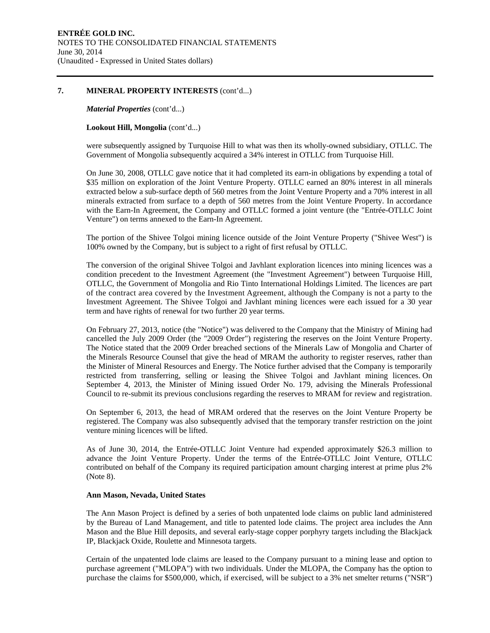#### **7. MINERAL PROPERTY INTERESTS** (cont'd...)

*Material Properties* (cont'd...)

**Lookout Hill, Mongolia** (cont'd...)

were subsequently assigned by Turquoise Hill to what was then its wholly-owned subsidiary, OTLLC. The Government of Mongolia subsequently acquired a 34% interest in OTLLC from Turquoise Hill.

On June 30, 2008, OTLLC gave notice that it had completed its earn-in obligations by expending a total of \$35 million on exploration of the Joint Venture Property. OTLLC earned an 80% interest in all minerals extracted below a sub-surface depth of 560 metres from the Joint Venture Property and a 70% interest in all minerals extracted from surface to a depth of 560 metres from the Joint Venture Property. In accordance with the Earn-In Agreement, the Company and OTLLC formed a joint venture (the "Entrée-OTLLC Joint Venture") on terms annexed to the Earn-In Agreement.

The portion of the Shivee Tolgoi mining licence outside of the Joint Venture Property ("Shivee West") is 100% owned by the Company, but is subject to a right of first refusal by OTLLC.

The conversion of the original Shivee Tolgoi and Javhlant exploration licences into mining licences was a condition precedent to the Investment Agreement (the "Investment Agreement") between Turquoise Hill, OTLLC, the Government of Mongolia and Rio Tinto International Holdings Limited. The licences are part of the contract area covered by the Investment Agreement, although the Company is not a party to the Investment Agreement. The Shivee Tolgoi and Javhlant mining licences were each issued for a 30 year term and have rights of renewal for two further 20 year terms.

On February 27, 2013, notice (the "Notice") was delivered to the Company that the Ministry of Mining had cancelled the July 2009 Order (the "2009 Order") registering the reserves on the Joint Venture Property. The Notice stated that the 2009 Order breached sections of the Minerals Law of Mongolia and Charter of the Minerals Resource Counsel that give the head of MRAM the authority to register reserves, rather than the Minister of Mineral Resources and Energy. The Notice further advised that the Company is temporarily restricted from transferring, selling or leasing the Shivee Tolgoi and Javhlant mining licences. On September 4, 2013, the Minister of Mining issued Order No. 179, advising the Minerals Professional Council to re-submit its previous conclusions regarding the reserves to MRAM for review and registration.

On September 6, 2013, the head of MRAM ordered that the reserves on the Joint Venture Property be registered. The Company was also subsequently advised that the temporary transfer restriction on the joint venture mining licences will be lifted.

As of June 30, 2014, the Entrée-OTLLC Joint Venture had expended approximately \$26.3 million to advance the Joint Venture Property. Under the terms of the Entrée-OTLLC Joint Venture, OTLLC contributed on behalf of the Company its required participation amount charging interest at prime plus 2% (Note 8).

#### **Ann Mason, Nevada, United States**

The Ann Mason Project is defined by a series of both unpatented lode claims on public land administered by the Bureau of Land Management, and title to patented lode claims. The project area includes the Ann Mason and the Blue Hill deposits, and several early-stage copper porphyry targets including the Blackjack IP, Blackjack Oxide, Roulette and Minnesota targets.

Certain of the unpatented lode claims are leased to the Company pursuant to a mining lease and option to purchase agreement ("MLOPA") with two individuals. Under the MLOPA, the Company has the option to purchase the claims for \$500,000, which, if exercised, will be subject to a 3% net smelter returns ("NSR")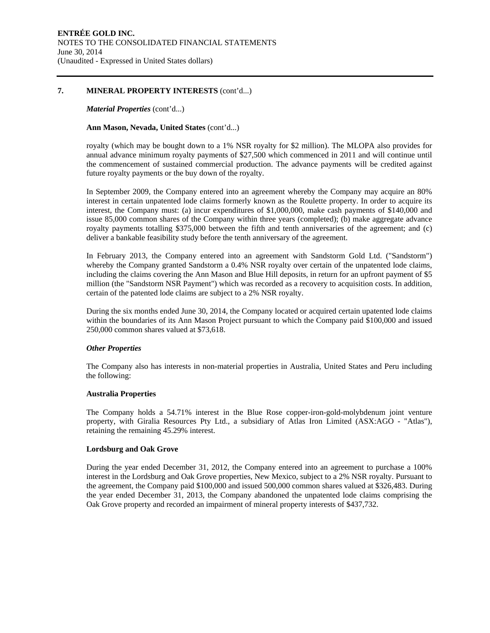#### **7. MINERAL PROPERTY INTERESTS** (cont'd...)

#### *Material Properties* (cont'd...)

### **Ann Mason, Nevada, United States** (cont'd...)

royalty (which may be bought down to a 1% NSR royalty for \$2 million). The MLOPA also provides for annual advance minimum royalty payments of \$27,500 which commenced in 2011 and will continue until the commencement of sustained commercial production. The advance payments will be credited against future royalty payments or the buy down of the royalty.

In September 2009, the Company entered into an agreement whereby the Company may acquire an 80% interest in certain unpatented lode claims formerly known as the Roulette property. In order to acquire its interest, the Company must: (a) incur expenditures of \$1,000,000, make cash payments of \$140,000 and issue 85,000 common shares of the Company within three years (completed); (b) make aggregate advance royalty payments totalling \$375,000 between the fifth and tenth anniversaries of the agreement; and (c) deliver a bankable feasibility study before the tenth anniversary of the agreement.

In February 2013, the Company entered into an agreement with Sandstorm Gold Ltd. ("Sandstorm") whereby the Company granted Sandstorm a 0.4% NSR royalty over certain of the unpatented lode claims, including the claims covering the Ann Mason and Blue Hill deposits, in return for an upfront payment of \$5 million (the "Sandstorm NSR Payment") which was recorded as a recovery to acquisition costs. In addition, certain of the patented lode claims are subject to a 2% NSR royalty.

During the six months ended June 30, 2014, the Company located or acquired certain upatented lode claims within the boundaries of its Ann Mason Project pursuant to which the Company paid \$100,000 and issued 250,000 common shares valued at \$73,618.

# *Other Properties*

The Company also has interests in non-material properties in Australia, United States and Peru including the following:

#### **Australia Properties**

The Company holds a 54.71% interest in the Blue Rose copper-iron-gold-molybdenum joint venture property, with Giralia Resources Pty Ltd., a subsidiary of Atlas Iron Limited (ASX:AGO - "Atlas"), retaining the remaining 45.29% interest.

#### **Lordsburg and Oak Grove**

During the year ended December 31, 2012, the Company entered into an agreement to purchase a 100% interest in the Lordsburg and Oak Grove properties, New Mexico, subject to a 2% NSR royalty. Pursuant to the agreement, the Company paid \$100,000 and issued 500,000 common shares valued at \$326,483. During the year ended December 31, 2013, the Company abandoned the unpatented lode claims comprising the Oak Grove property and recorded an impairment of mineral property interests of \$437,732.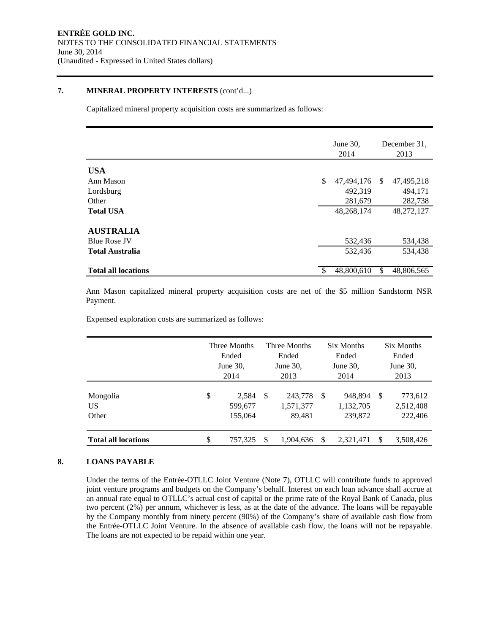### **7. MINERAL PROPERTY INTERESTS** (cont'd...)

Capitalized mineral property acquisition costs are summarized as follows:

|                            | June 30,<br>2014 |               | December 31.<br>2013 |
|----------------------------|------------------|---------------|----------------------|
| <b>USA</b>                 |                  |               |                      |
| Ann Mason                  | \$<br>47,494,176 | <sup>\$</sup> | 47,495,218           |
| Lordsburg                  | 492,319          |               | 494,171              |
| Other                      | 281,679          |               | 282,738              |
| <b>Total USA</b>           | 48,268,174       |               | 48,272,127           |
| <b>AUSTRALIA</b>           |                  |               |                      |
| <b>Blue Rose JV</b>        | 532,436          |               | 534,438              |
| <b>Total Australia</b>     | 532,436          |               | 534,438              |
| <b>Total all locations</b> | 48,800,610       | \$            | 48,806,565           |

Ann Mason capitalized mineral property acquisition costs are net of the \$5 million Sandstorm NSR Payment.

Expensed exploration costs are summarized as follows:

|                            | Three Months<br>Ended<br>June $30$ ,<br>2014 |    | Three Months<br>Ended<br>June $30$ ,<br>2013 |     | Six Months<br>Ended<br>June $30$ .<br>2014 |               | Six Months<br>Ended<br>June $30$ ,<br>2013 |
|----------------------------|----------------------------------------------|----|----------------------------------------------|-----|--------------------------------------------|---------------|--------------------------------------------|
| Mongolia<br>US<br>Other    | \$<br>2,584<br>599,677<br>155,064            | -S | 243,778<br>1,571,377<br>89,481               | -\$ | 948.894<br>1,132,705<br>239,872            | <sup>\$</sup> | 773,612<br>2,512,408<br>222,406            |
| <b>Total all locations</b> | \$<br>757,325                                | \$ | 1,904,636                                    |     | 2,321,471                                  | <sup>\$</sup> | 3,508,426                                  |

# **8. LOANS PAYABLE**

Under the terms of the Entrée-OTLLC Joint Venture (Note 7), OTLLC will contribute funds to approved joint venture programs and budgets on the Company's behalf. Interest on each loan advance shall accrue at an annual rate equal to OTLLC's actual cost of capital or the prime rate of the Royal Bank of Canada, plus two percent (2%) per annum, whichever is less, as at the date of the advance. The loans will be repayable by the Company monthly from ninety percent (90%) of the Company's share of available cash flow from the Entrée-OTLLC Joint Venture. In the absence of available cash flow, the loans will not be repayable. The loans are not expected to be repaid within one year.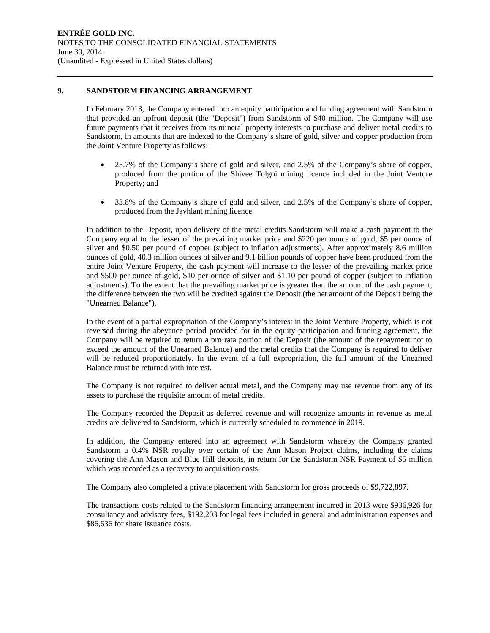#### **9. SANDSTORM FINANCING ARRANGEMENT**

In February 2013, the Company entered into an equity participation and funding agreement with Sandstorm that provided an upfront deposit (the "Deposit") from Sandstorm of \$40 million. The Company will use future payments that it receives from its mineral property interests to purchase and deliver metal credits to Sandstorm, in amounts that are indexed to the Company's share of gold, silver and copper production from the Joint Venture Property as follows:

- 25.7% of the Company's share of gold and silver, and 2.5% of the Company's share of copper, produced from the portion of the Shivee Tolgoi mining licence included in the Joint Venture Property; and
- 33.8% of the Company's share of gold and silver, and 2.5% of the Company's share of copper, produced from the Javhlant mining licence.

In addition to the Deposit, upon delivery of the metal credits Sandstorm will make a cash payment to the Company equal to the lesser of the prevailing market price and \$220 per ounce of gold, \$5 per ounce of silver and \$0.50 per pound of copper (subject to inflation adjustments). After approximately 8.6 million ounces of gold, 40.3 million ounces of silver and 9.1 billion pounds of copper have been produced from the entire Joint Venture Property, the cash payment will increase to the lesser of the prevailing market price and \$500 per ounce of gold, \$10 per ounce of silver and \$1.10 per pound of copper (subject to inflation adjustments). To the extent that the prevailing market price is greater than the amount of the cash payment, the difference between the two will be credited against the Deposit (the net amount of the Deposit being the "Unearned Balance").

In the event of a partial expropriation of the Company's interest in the Joint Venture Property, which is not reversed during the abeyance period provided for in the equity participation and funding agreement, the Company will be required to return a pro rata portion of the Deposit (the amount of the repayment not to exceed the amount of the Unearned Balance) and the metal credits that the Company is required to deliver will be reduced proportionately. In the event of a full expropriation, the full amount of the Unearned Balance must be returned with interest.

The Company is not required to deliver actual metal, and the Company may use revenue from any of its assets to purchase the requisite amount of metal credits.

The Company recorded the Deposit as deferred revenue and will recognize amounts in revenue as metal credits are delivered to Sandstorm, which is currently scheduled to commence in 2019.

In addition, the Company entered into an agreement with Sandstorm whereby the Company granted Sandstorm a 0.4% NSR royalty over certain of the Ann Mason Project claims, including the claims covering the Ann Mason and Blue Hill deposits, in return for the Sandstorm NSR Payment of \$5 million which was recorded as a recovery to acquisition costs.

The Company also completed a private placement with Sandstorm for gross proceeds of \$9,722,897.

The transactions costs related to the Sandstorm financing arrangement incurred in 2013 were \$936,926 for consultancy and advisory fees, \$192,203 for legal fees included in general and administration expenses and \$86,636 for share issuance costs.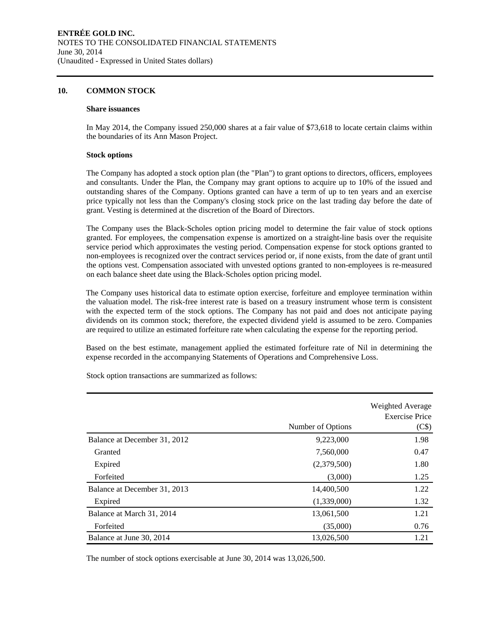#### **10. COMMON STOCK**

#### **Share issuances**

In May 2014, the Company issued 250,000 shares at a fair value of \$73,618 to locate certain claims within the boundaries of its Ann Mason Project.

#### **Stock options**

The Company has adopted a stock option plan (the "Plan") to grant options to directors, officers, employees and consultants. Under the Plan, the Company may grant options to acquire up to 10% of the issued and outstanding shares of the Company. Options granted can have a term of up to ten years and an exercise price typically not less than the Company's closing stock price on the last trading day before the date of grant. Vesting is determined at the discretion of the Board of Directors.

The Company uses the Black-Scholes option pricing model to determine the fair value of stock options granted. For employees, the compensation expense is amortized on a straight-line basis over the requisite service period which approximates the vesting period. Compensation expense for stock options granted to non-employees is recognized over the contract services period or, if none exists, from the date of grant until the options vest. Compensation associated with unvested options granted to non-employees is re-measured on each balance sheet date using the Black-Scholes option pricing model.

The Company uses historical data to estimate option exercise, forfeiture and employee termination within the valuation model. The risk-free interest rate is based on a treasury instrument whose term is consistent with the expected term of the stock options. The Company has not paid and does not anticipate paying dividends on its common stock; therefore, the expected dividend yield is assumed to be zero. Companies are required to utilize an estimated forfeiture rate when calculating the expense for the reporting period.

Based on the best estimate, management applied the estimated forfeiture rate of Nil in determining the expense recorded in the accompanying Statements of Operations and Comprehensive Loss.

|                              |                   | Weighted Average<br><b>Exercise Price</b> |
|------------------------------|-------------------|-------------------------------------------|
|                              | Number of Options | (C\$)                                     |
| Balance at December 31, 2012 | 9,223,000         | 1.98                                      |
| Granted                      | 7,560,000         | 0.47                                      |
| Expired                      | (2,379,500)       | 1.80                                      |
| Forfeited                    | (3,000)           | 1.25                                      |
| Balance at December 31, 2013 | 14,400,500        | 1.22                                      |
| Expired                      | (1,339,000)       | 1.32                                      |
| Balance at March 31, 2014    | 13,061,500        | 1.21                                      |
| Forfeited                    | (35,000)          | 0.76                                      |
| Balance at June 30, 2014     | 13,026,500        | 1.21                                      |

Stock option transactions are summarized as follows:

The number of stock options exercisable at June 30, 2014 was 13,026,500.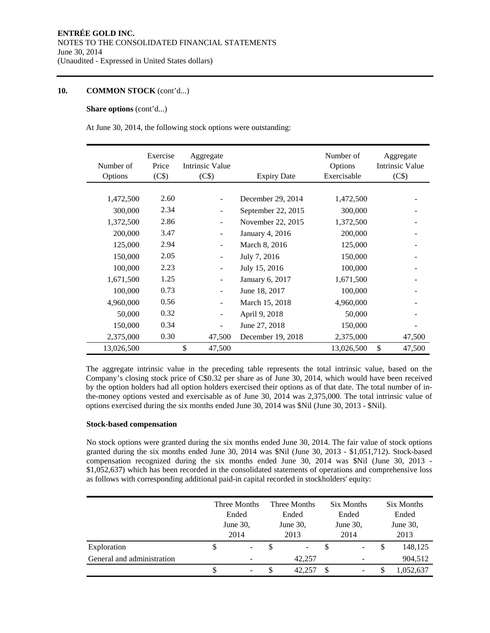### **10. COMMON STOCK** (cont'd...)

#### **Share options** (cont'd...)

At June 30, 2014, the following stock options were outstanding:

| Number of<br>Options | Exercise<br>Price<br>(C\$) | Aggregate<br>Intrinsic Value<br>(C\$) | <b>Expiry Date</b> | Number of<br>Options<br>Exercisable | Aggregate<br><b>Intrinsic Value</b><br>(C\$) |
|----------------------|----------------------------|---------------------------------------|--------------------|-------------------------------------|----------------------------------------------|
|                      |                            |                                       |                    |                                     |                                              |
| 1,472,500            | 2.60                       | $\overline{\phantom{a}}$              | December 29, 2014  | 1,472,500                           |                                              |
| 300,000              | 2.34                       | $\overline{\phantom{a}}$              | September 22, 2015 | 300,000                             |                                              |
| 1,372,500            | 2.86                       | $\overline{\phantom{m}}$              | November 22, 2015  | 1,372,500                           |                                              |
| 200,000              | 3.47                       | $\overline{\phantom{a}}$              | January 4, 2016    | 200,000                             |                                              |
| 125,000              | 2.94                       | $\overline{\phantom{a}}$              | March 8, 2016      | 125,000                             |                                              |
| 150,000              | 2.05                       | $\overline{\phantom{a}}$              | July 7, 2016       | 150,000                             |                                              |
| 100,000              | 2.23                       | $\overline{\phantom{a}}$              | July 15, 2016      | 100,000                             |                                              |
| 1,671,500            | 1.25                       | $\overline{\phantom{a}}$              | January 6, 2017    | 1,671,500                           |                                              |
| 100,000              | 0.73                       | $\overline{\phantom{a}}$              | June 18, 2017      | 100,000                             |                                              |
| 4,960,000            | 0.56                       | $\overline{\phantom{a}}$              | March 15, 2018     | 4,960,000                           |                                              |
| 50,000               | 0.32                       | $\qquad \qquad \blacksquare$          | April 9, 2018      | 50,000                              |                                              |
| 150,000              | 0.34                       | $\overline{a}$                        | June 27, 2018      | 150,000                             |                                              |
| 2,375,000            | 0.30                       | 47,500                                | December 19, 2018  | 2,375,000                           | 47,500                                       |
| 13,026,500           |                            | \$<br>47,500                          |                    | 13,026,500                          | \$<br>47,500                                 |

The aggregate intrinsic value in the preceding table represents the total intrinsic value, based on the Company's closing stock price of C\$0.32 per share as of June 30, 2014, which would have been received by the option holders had all option holders exercised their options as of that date. The total number of inthe-money options vested and exercisable as of June 30, 2014 was 2,375,000. The total intrinsic value of options exercised during the six months ended June 30, 2014 was \$Nil (June 30, 2013 - \$Nil).

#### **Stock-based compensation**

No stock options were granted during the six months ended June 30, 2014. The fair value of stock options granted during the six months ended June 30, 2014 was \$Nil (June 30, 2013 - \$1,051,712). Stock-based compensation recognized during the six months ended June 30, 2014 was \$Nil (June 30, 2013 - \$1,052,637) which has been recorded in the consolidated statements of operations and comprehensive loss as follows with corresponding additional paid-in capital recorded in stockholders' equity:

|                            | Three Months<br>Ended |                          | Three Months<br>Ended |        |          | Six Months<br>Ended          |          | Six Months |  |  |
|----------------------------|-----------------------|--------------------------|-----------------------|--------|----------|------------------------------|----------|------------|--|--|
|                            |                       |                          |                       |        |          |                              |          | Ended      |  |  |
|                            | June 30,              |                          | June $30$ ,           |        | June 30, |                              | June 30, |            |  |  |
|                            |                       | 2014                     |                       | 2013   |          | 2014                         |          | 2013       |  |  |
| Exploration                |                       | $\overline{\phantom{a}}$ |                       | -      |          | $\qquad \qquad \blacksquare$ | \$       | 148,125    |  |  |
| General and administration |                       | ۰                        |                       | 42,257 |          | ۰                            |          | 904,512    |  |  |
|                            |                       | -                        |                       | 42,257 | -S       | $\overline{\phantom{0}}$     |          | 1,052,637  |  |  |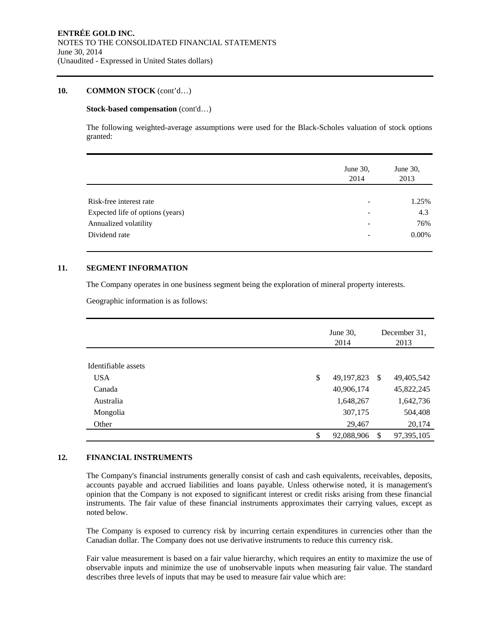#### **10. COMMON STOCK** (cont'd…)

#### **Stock-based compensation** (cont'd…)

The following weighted-average assumptions were used for the Black-Scholes valuation of stock options granted:

|                                  | June 30,<br>2014 | June 30,<br>2013 |
|----------------------------------|------------------|------------------|
|                                  |                  |                  |
| Risk-free interest rate          |                  | 1.25%            |
| Expected life of options (years) | ۰                | 4.3              |
| Annualized volatility            | -                | 76%              |
| Dividend rate                    |                  | 0.00%            |
|                                  |                  |                  |

#### **11. SEGMENT INFORMATION**

The Company operates in one business segment being the exploration of mineral property interests.

Geographic information is as follows:

|                     | June 30,<br>2014 |    | December 31.<br>2013 |
|---------------------|------------------|----|----------------------|
| Identifiable assets |                  |    |                      |
| <b>USA</b>          | \$<br>49,197,823 | -S | 49,405,542           |
| Canada              | 40,906,174       |    | 45,822,245           |
| Australia           | 1,648,267        |    | 1,642,736            |
| Mongolia            | 307,175          |    | 504,408              |
| Other               | 29,467           |    | 20,174               |
|                     | \$<br>92,088,906 | -S | 97,395,105           |

# **12. FINANCIAL INSTRUMENTS**

The Company's financial instruments generally consist of cash and cash equivalents, receivables, deposits, accounts payable and accrued liabilities and loans payable. Unless otherwise noted, it is management's opinion that the Company is not exposed to significant interest or credit risks arising from these financial instruments. The fair value of these financial instruments approximates their carrying values, except as noted below.

The Company is exposed to currency risk by incurring certain expenditures in currencies other than the Canadian dollar. The Company does not use derivative instruments to reduce this currency risk.

Fair value measurement is based on a fair value hierarchy, which requires an entity to maximize the use of observable inputs and minimize the use of unobservable inputs when measuring fair value. The standard describes three levels of inputs that may be used to measure fair value which are: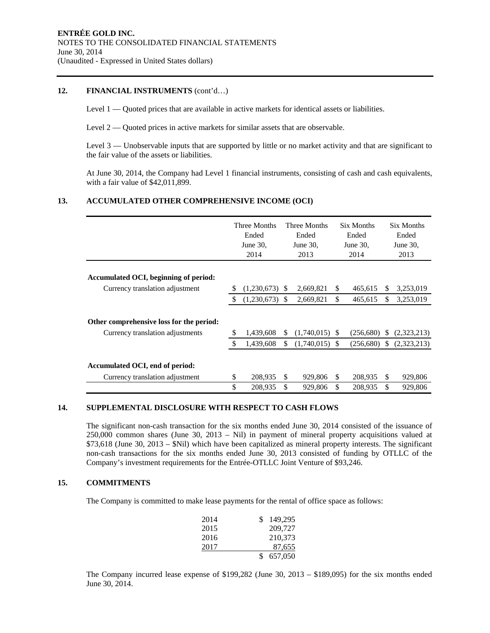#### **12. FINANCIAL INSTRUMENTS** (cont'd…)

Level 1 — Quoted prices that are available in active markets for identical assets or liabilities.

Level 2 — Quoted prices in active markets for similar assets that are observable.

Level 3 — Unobservable inputs that are supported by little or no market activity and that are significant to the fair value of the assets or liabilities.

At June 30, 2014, the Company had Level 1 financial instruments, consisting of cash and cash equivalents, with a fair value of \$42,011,899.

### **13. ACCUMULATED OTHER COMPREHENSIVE INCOME (OCI)**

|                                                                              |               | Three Months<br>Ended<br>June 30,<br>2014 |               | Three Months<br>Ended<br>June $30$ ,<br>2013 |     | Six Months<br>Ended<br>June 30,<br>2014 |    | <b>Six Months</b><br>Ended<br>June $30$ ,<br>2013 |
|------------------------------------------------------------------------------|---------------|-------------------------------------------|---------------|----------------------------------------------|-----|-----------------------------------------|----|---------------------------------------------------|
| Accumulated OCI, beginning of period:                                        |               |                                           |               |                                              |     |                                         |    |                                                   |
| Currency translation adjustment                                              | S             | (1,230,673)                               | S.            | 2,669,821                                    | S   | 465,615                                 | S  | 3,253,019                                         |
|                                                                              | <sup>\$</sup> | (1,230,673)                               | <sup>\$</sup> | 2,669,821                                    | \$  | 465,615                                 | \$ | 3,253,019                                         |
| Other comprehensive loss for the period:<br>Currency translation adjustments | \$            | 1,439,608                                 | S             | $(1,740,015)$ \$                             |     | (256,680)                               | S. | (2,323,213)                                       |
|                                                                              | $\mathcal{S}$ | 1,439,608                                 | \$.           | $(1,740,015)$ \$                             |     | (256,680)                               | S. | (2,323,213)                                       |
| Accumulated OCI, end of period:<br>Currency translation adjustment           | \$            | 208,935                                   | \$.           | 929,806                                      | \$. | 208,935                                 | S  | 929,806                                           |
|                                                                              | \$            | 208,935                                   | \$            | 929,806                                      | \$  | 208,935                                 | \$ | 929,806                                           |

#### **14. SUPPLEMENTAL DISCLOSURE WITH RESPECT TO CASH FLOWS**

The significant non-cash transaction for the six months ended June 30, 2014 consisted of the issuance of 250,000 common shares (June 30, 2013 – Nil) in payment of mineral property acquisitions valued at \$73,618 (June 30, 2013 – \$Nil) which have been capitalized as mineral property interests. The significant non-cash transactions for the six months ended June 30, 2013 consisted of funding by OTLLC of the Company's investment requirements for the Entrée-OTLLC Joint Venture of \$93,246.

#### **15. COMMITMENTS**

The Company is committed to make lease payments for the rental of office space as follows:

| 2014 | 149,295 |
|------|---------|
| 2015 | 209,727 |
| 2016 | 210,373 |
| 2017 | 87,655  |
|      | 657,050 |

The Company incurred lease expense of \$199,282 (June 30, 2013 – \$189,095) for the six months ended June 30, 2014.